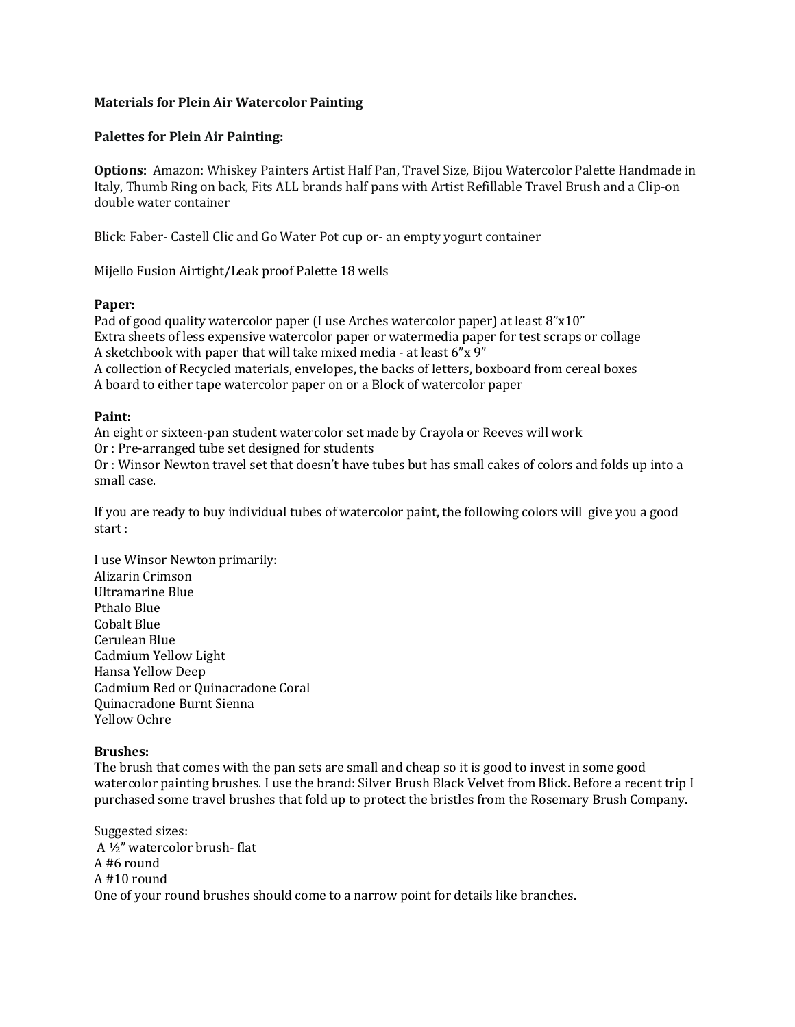# **Materials for Plein Air Watercolor Painting**

### **Palettes for Plein Air Painting:**

**Options:** Amazon: Whiskey Painters Artist Half Pan, Travel Size, Bijou Watercolor Palette Handmade in Italy, Thumb Ring on back, Fits ALL brands half pans with Artist Refillable Travel Brush and a Clip-on double water container

Blick: Faber- Castell Clic and Go Water Pot cup or- an empty yogurt container

Mijello Fusion Airtight/Leak proof Palette 18 wells

### **Paper:**

Pad of good quality watercolor paper (I use Arches watercolor paper) at least 8"x10" Extra sheets of less expensive watercolor paper or watermedia paper for test scraps or collage A sketchbook with paper that will take mixed media - at least  $6''x$  9" A collection of Recycled materials, envelopes, the backs of letters, boxboard from cereal boxes A board to either tape watercolor paper on or a Block of watercolor paper

# **Paint:**

An eight or sixteen-pan student watercolor set made by Crayola or Reeves will work Or : Pre-arranged tube set designed for students Or : Winsor Newton travel set that doesn't have tubes but has small cakes of colors and folds up into a small case.

If you are ready to buy individual tubes of watercolor paint, the following colors will give you a good start:

I use Winsor Newton primarily: Alizarin Crimson Ultramarine Blue Pthalo Blue Cobalt Blue Cerulean Blue Cadmium Yellow Light Hansa Yellow Deep Cadmium Red or Ouinacradone Coral Quinacradone Burnt Sienna Yellow Ochre

### **Brushes:**

The brush that comes with the pan sets are small and cheap so it is good to invest in some good watercolor painting brushes. I use the brand: Silver Brush Black Velvet from Blick. Before a recent trip I purchased some travel brushes that fold up to protect the bristles from the Rosemary Brush Company.

Suggested sizes: A  $\frac{1}{2}$ " watercolor brush- flat  $A$  #6 round A #10 round One of your round brushes should come to a narrow point for details like branches.